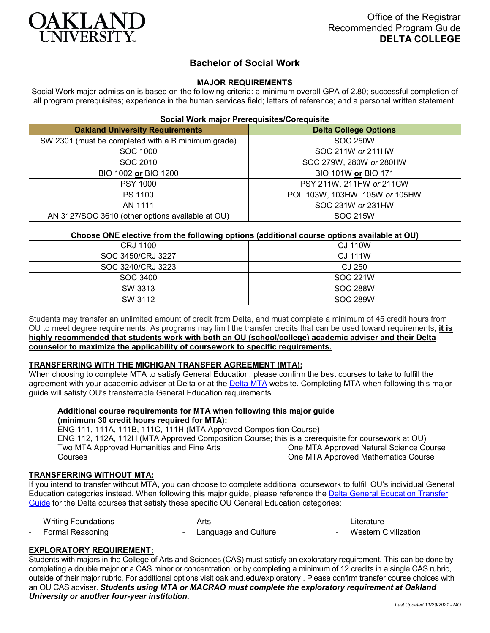

# **Bachelor of Social Work**

# **MAJOR REQUIREMENTS**

Social Work major admission is based on the following criteria: a minimum overall GPA of 2.80; successful completion of all program prerequisites; experience in the human services field; letters of reference; and a personal written statement.

# **Social Work major Prerequisites/Corequisite**

| <b>Oakland University Requirements</b>             | <b>Delta College Options</b>   |
|----------------------------------------------------|--------------------------------|
| SW 2301 (must be completed with a B minimum grade) | <b>SOC 250W</b>                |
| SOC 1000                                           | SOC 211W or 211HW              |
| SOC 2010                                           | SOC 279W, 280W or 280HW        |
| BIO 1002 or BIO 1200                               | BIO 101W or BIO 171            |
| <b>PSY 1000</b>                                    | PSY 211W, 211HW or 211CW       |
| PS 1100                                            | POL 103W, 103HW, 105W or 105HW |
| AN 1111                                            | SOC 231W or 231HW              |
| AN 3127/SOC 3610 (other options available at OU)   | <b>SOC 215W</b>                |

# **Choose ONE elective from the following options (additional course options available at OU)**

| CRJ 1100          | CJ 110W         |
|-------------------|-----------------|
| SOC 3450/CRJ 3227 | CJ 111W         |
| SOC 3240/CRJ 3223 | CJ 250          |
| SOC 3400          | <b>SOC 221W</b> |
| SW 3313           | <b>SOC 288W</b> |
| SW 3112           | <b>SOC 289W</b> |

Students may transfer an unlimited amount of credit from Delta, and must complete a minimum of 45 credit hours from OU to meet degree requirements. As programs may limit the transfer credits that can be used toward requirements, **it is highly recommended that students work with both an OU (school/college) academic adviser and their Delta counselor to maximize the applicability of coursework to specific requirements.**

#### **TRANSFERRING WITH THE MICHIGAN TRANSFER AGREEMENT (MTA):**

When choosing to complete MTA to satisfy General Education, please confirm the best courses to take to fulfill the agreement with your academic adviser at Delta or at the [Delta MTA](http://catalog.delta.edu/content.php?catoid=10&navoid=1320&hl=MTA&returnto=search) website. Completing MTA when following this major guide will satisfy OU's transferrable General Education requirements.

# **Additional course requirements for MTA when following this major guide (minimum 30 credit hours required for MTA):**

ENG 111, 111A, 111B, 111C, 111H (MTA Approved Composition Course) ENG 112, 112A, 112H (MTA Approved Composition Course; this is a prerequisite for coursework at OU) Two MTA Approved Humanities and Fine Arts Courses One MTA Approved Natural Science Course One MTA Approved Mathematics Course

# **TRANSFERRING WITHOUT MTA:**

If you intend to transfer without MTA, you can choose to complete additional coursework to fulfill OU's individual General Education categories instead. When following this major guide, please reference the [Delta General Education Transfer](https://www.oakland.edu/Assets/Oakland/program-guides/delta-college/university-general-education-requirements/Delta%20Gen%20Ed.pdf)  [Guide](https://www.oakland.edu/Assets/Oakland/program-guides/delta-college/university-general-education-requirements/Delta%20Gen%20Ed.pdf) for the Delta courses that satisfy these specific OU General Education categories:

| <b>Writing Foundations</b> | Arts |  | Literature |
|----------------------------|------|--|------------|
|                            |      |  |            |

Formal Reasoning Language and Culture **Western Civilization** 

# **EXPLORATORY REQUIREMENT:**

Students with majors in the College of Arts and Sciences (CAS) must satisfy an exploratory requirement. This can be done by completing a double major or a CAS minor or concentration; or by completing a minimum of 12 credits in a single CAS rubric, outside of their major rubric. For additional options visit [oakland.edu/exploratory](http://www.oakland.edu/exploratory) . Please confirm transfer course choices with an OU CAS adviser. *Students using MTA or MACRAO must complete the exploratory requirement at Oakland University or another four-year institution.*